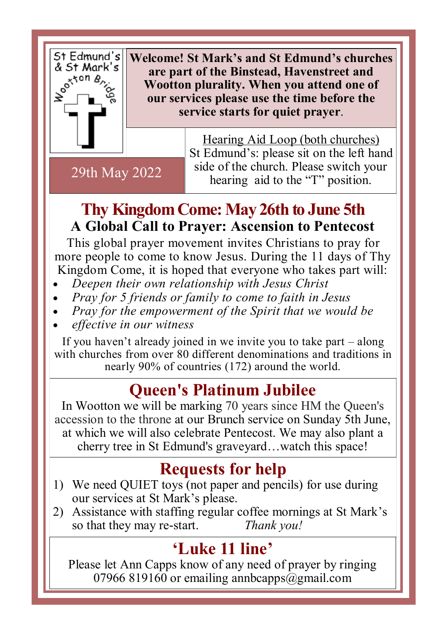

**Welcome! St Mark's and St Edmund's churches are part of the Binstead, Havenstreet and Wootton plurality. When you attend one of our services please use the time before the service starts for quiet prayer**.

> Hearing Aid Loop (both churches) St Edmund's: please sit on the left hand side of the church. Please switch your hearing aid to the "T" position.

#### **Thy Kingdom Come: May 26th to June 5th A Global Call to Prayer: Ascension to Pentecost**

This global prayer movement invites Christians to pray for more people to come to know Jesus. During the 11 days of Thy Kingdom Come, it is hoped that everyone who takes part will:

- *Deepen their own relationship with Jesus Christ*
- *Pray for 5 friends or family to come to faith in Jesus*
- *Pray for the empowerment of the Spirit that we would be*
- *effective in our witness*

If you haven't already joined in we invite you to take part – along with churches from over 80 different denominations and traditions in nearly 90% of countries (172) around the world.

# **Queen's Platinum Jubilee**

In Wootton we will be marking 70 years since HM the Queen's accession to the throne at our Brunch service on Sunday 5th June, at which we will also celebrate Pentecost. We may also plant a cherry tree in St Edmund's graveyard…watch this space!

# **Requests for help**

- 1) We need OUIET toys (not paper and pencils) for use during our services at St Mark's please.
- 2) Assistance with staffing regular coffee mornings at St Mark's so that they may re-start. *Thank you!*

# **'Luke 11 line'**

Please let Ann Capps know of any need of prayer by ringing 07966 819160 or emailing annocapps $\alpha$ gmail.com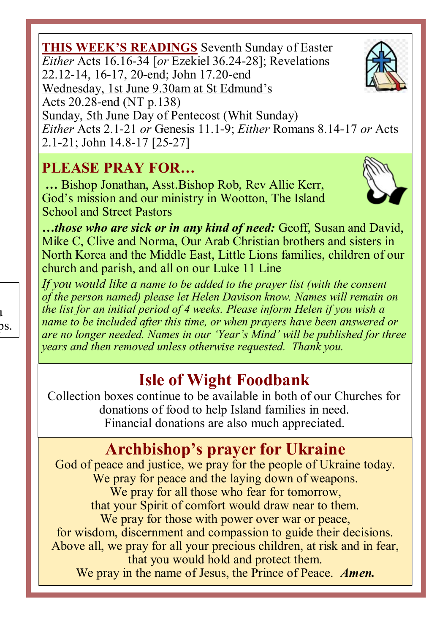**THIS WEEK'S READINGS** Seventh Sunday of Easter *Either* Acts 16.16-34 [*or* Ezekiel 36.24-28]; Revelations 22.12-14, 16-17, 20-end; John 17.20-end Wednesday, 1st June 9.30am at St Edmund's Acts 20.28-end (NT p.138) Sunday, 5th June Day of Pentecost (Whit Sunday) *Either* Acts 2.1-21 *or* Genesis 11.1-9; *Either* Romans 8.14-17 *or* Acts 2.1-21; John 14.8-17 [25-27]

#### **PLEASE PRAY FOR…**

**…** Bishop Jonathan, Asst.Bishop Rob, Rev Allie Kerr, God's mission and our ministry in Wootton, The Island School and Street Pastors

*…those who are sick or in any kind of need:* Geoff, Susan and David, Mike C, Clive and Norma, Our Arab Christian brothers and sisters in North Korea and the Middle East, Little Lions families, children of our church and parish, and all on our Luke 11 Line

*If you would like a name to be added to the prayer list (with the consent of the person named) please let Helen Davison know. Names will remain on the list for an initial period of 4 weeks. Please inform Helen if you wish a name to be included after this time, or when prayers have been answered or are no longer needed. Names in our 'Year's Mind' will be published for three years and then removed unless otherwise requested. Thank you.*

# **Isle of Wight Foodbank**

Collection boxes continue to be available in both of our Churches for donations of food to help Island families in need. Financial donations are also much appreciated.

# **Archbishop's prayer for Ukraine**

God of peace and justice, we pray for the people of Ukraine today. We pray for peace and the laying down of weapons. We pray for all those who fear for tomorrow, that your Spirit of comfort would draw near to them. We pray for those with power over war or peace, for wisdom, discernment and compassion to guide their decisions. Above all, we pray for all your precious children, at risk and in fear, that you would hold and protect them. We pray in the name of Jesus, the Prince of Peace. *Amen.*



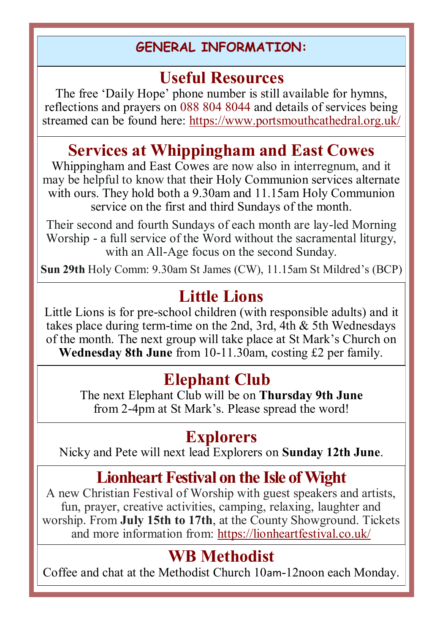#### **GENERAL INFORMATION:**

#### **Useful Resources**

The free 'Daily Hope' phone number is still available for hymns, reflections and prayers on 088 804 8044 and details of services being streamed can be found here: https://www.portsmouthcathedral.org.uk/

# **Services at Whippingham and East Cowes**

Whippingham and East Cowes are now also in interregnum, and it may be helpful to know that their Holy Communion services alternate with ours. They hold both a 9.30am and 11.15am Holy Communion service on the first and third Sundays of the month.

Their second and fourth Sundays of each month are lay-led Morning Worship - a full service of the Word without the sacramental liturgy, with an All-Age focus on the second Sunday.

**Sun 29th** Holy Comm: 9.30am St James (CW), 11.15am St Mildred's (BCP)

### **Little Lions**

Little Lions is for pre-school children (with responsible adults) and it takes place during term-time on the 2nd, 3rd, 4th & 5th Wednesdays of the month. The next group will take place at St Mark's Church on **Wednesday 8th June** from 10-11.30am, costing £2 per family.

# **Elephant Club**

The next Elephant Club will be on **Thursday 9th June** from 2-4pm at St Mark's. Please spread the word!

# **Explorers**

Nicky and Pete will next lead Explorers on **Sunday 12th June**.

# **Lionheart Festival on the Isle of Wight**

A new Christian Festival of Worship with guest speakers and artists, fun, prayer, creative activities, camping, relaxing, laughter and worship. From **July 15th to 17th**, at the County Showground. Tickets and more information from: https://lionheartfestival.co.uk/

# **WB Methodist**

Coffee and chat at the Methodist Church 10am-12noon each Monday.